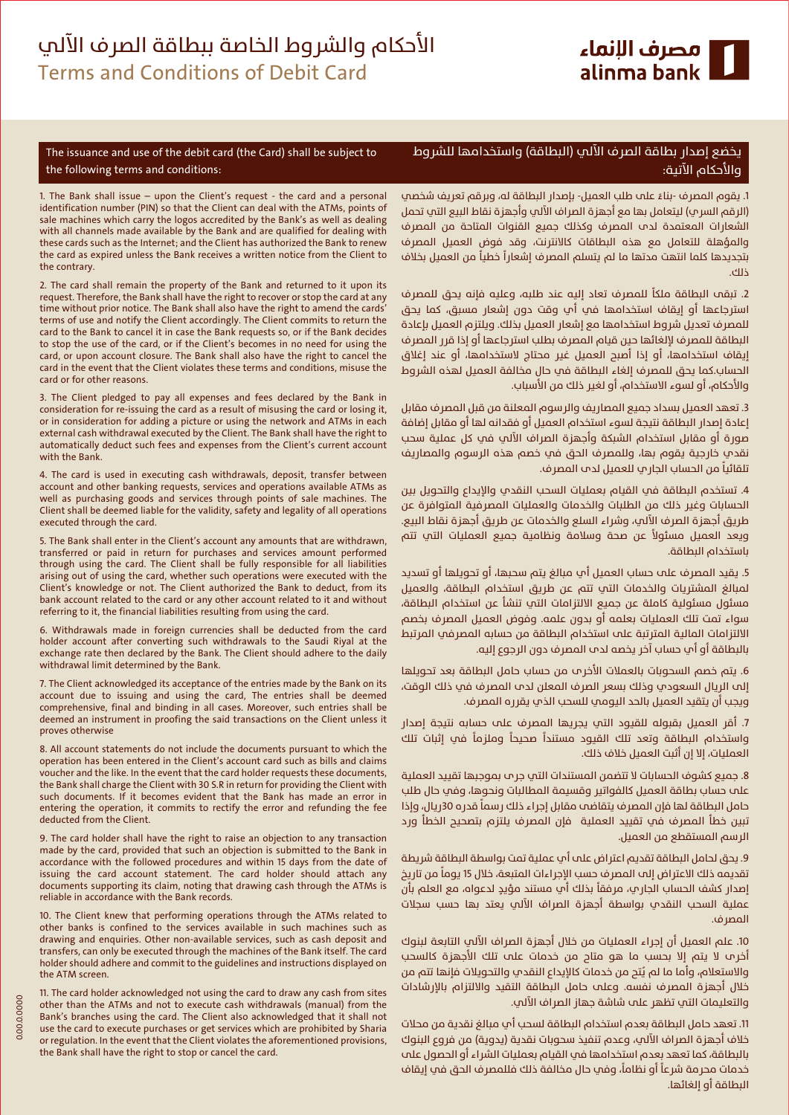

The issuance and use of the debit card (the Card) shall be subject to the following terms and conditions:

1. The Bank shall issue – upon the Client's request - the card and a personal identification number (PIN) so that the Client can deal with the ATMs, points of sale machines which carry the logos accredited by the Bank's as well as dealing with all channels made available by the Bank and are qualified for dealing with these cards such as the Internet; and the Client has authorized the Bank to renew the card as expired unless the Bank receives a written notice from the Client to the contrary.

2. The card shall remain the property of the Bank and returned to it upon its request. Therefore, the Bank shall have the right to recover or stop the card at any time without prior notice. The Bank shall also have the right to amend the cards' terms of use and notify the Client accordingly. The Client commits to return the card to the Bank to cancel it in case the Bank requests so, or if the Bank decides to stop the use of the card, or if the Client's becomes in no need for using the card, or upon account closure. The Bank shall also have the right to cancel the card in the event that the Client violates these terms and conditions, misuse the card or for other reasons.

3. The Client pledged to pay all expenses and fees declared by the Bank in consideration for re-issuing the card as a result of misusing the card or losing it, or in consideration for adding a picture or using the network and ATMs in each external cash withdrawal executed by the Client. The Bank shall have the right to automatically deduct such fees and expenses from the Client's current account with the Bank.

4. The card is used in executing cash withdrawals, deposit, transfer between account and other banking requests, services and operations available ATMs as well as purchasing goods and services through points of sale machines. The Client shall be deemed liable for the validity, safety and legality of all operations executed through the card.

5. The Bank shall enter in the Client's account any amounts that are withdrawn, transferred or paid in return for purchases and services amount performed through using the card. The Client shall be fully responsible for all liabilities arising out of using the card, whether such operations were executed with the Client's knowledge or not. The Client authorized the Bank to deduct, from its bank account related to the card or any other account related to it and without referring to it, the financial liabilities resulting from using the card.

6. Withdrawals made in foreign currencies shall be deducted from the card holder account after converting such withdrawals to the Saudi Riyal at the exchange rate then declared by the Bank. The Client should adhere to the daily withdrawal limit determined by the Bank.

7. The Client acknowledged its acceptance of the entries made by the Bank on its account due to issuing and using the card, The entries shall be deemed comprehensive, final and binding in all cases. Moreover, such entries shall be deemed an instrument in proofing the said transactions on the Client unless it proves otherwise

8. All account statements do not include the documents pursuant to which the operation has been entered in the Client's account card such as bills and claims voucher and the like. In the event that the card holder requests these documents, the Bank shall charge the Client with 30 S.R in return for providing the Client with such documents. If it becomes evident that the Bank has made an error in entering the operation, it commits to rectify the error and refunding the fee deducted from the Client.

9. The card holder shall have the right to raise an objection to any transaction made by the card, provided that such an objection is submitted to the Bank in accordance with the followed procedures and within 15 days from the date of issuing the card account statement. The card holder should attach any documents supporting its claim, noting that drawing cash through the ATMs is reliable in accordance with the Bank records.

10. The Client knew that performing operations through the ATMs related to other banks is confined to the services available in such machines such as drawing and enquiries. Other non-available services, such as cash deposit and transfers, can only be executed through the machines of the Bank itself. The card holder should adhere and commit to the guidelines and instructions displayed on the ATM screen.

11. The card holder acknowledged not using the card to draw any cash from sites other than the ATMs and not to execute cash withdrawals (manual) from the Bank's branches using the card. The Client also acknowledged that it shall not use the card to execute purchases or get services which are prohibited by Sharia or regulation. In the event that the Client violates the aforementioned provisions, the Bank shall have the right to stop or cancel the card.

## يخضع إصدار بطاقة الصرف الآلي (البطاقة) واستخدامها للشروط والاحكام الاتية:

.<br>1. يقوم المصرف -بناءً على طلب العميل- بإصدار البطاقة له، وبرقم تعريف شخصي (الرقم السري) ليتعامل بها مع أجهزة الصراف الآلب وأجهزة نقاط البيع التب تحمل الشعارات المعتمدة لدب المصرف وكذلك حميع القنوات المتاحة من المصرف .<br>والمؤهلة للتعامل مع هذه البطاقات كالانترنت، وقد فوض العميل المصرف و.سوست مسحد من سب البستات العاصرين وسا عوض المسين المسرب<br>بتجديدها كلما انتهت مدتها ما لم يتسلم الممرف إشعاراً خطياً من العميل بخلاف ¬כ.

.<br>2. تبقى البطاقة ملكاً للمصرف تعاد إليه عند طلبه، وعليه فإنه يحق للمصرف استرجاعها أو إيقاف استخدامها في أي وقت دون إشعار مسبق، كما يحق للمصرف تعديل شروط استخدامها مع إشعار العميل بذلك. ويلتزم العميل بإعادة البطاقة للمصرف لإلغائها حين قيام المصرف بطلب استرجاعها أو إذا قرر المصرف إيقاف استخدامها، أو إذا أصبح العميل غير محتاج لاستخدامها، أو عند إغلاق الحساب.كما يحق للمصرف إلغاء البطاقة في حال مخالفة العميل لهذه الشروط والاحكام، او لسوء الاستخدام، او لغير ذلك من الاسباب.

3. تعهد العميل بسداد جميع المصاريف والرسوم المعلنة من قبل المصرف مقابل إعادة إصدار البطاقة نتيجة لسوء استخدام العميل او فقدانه لها او مقابل إضافة صورة أو مقابل استخدام الشبكة وأجهزة الصراف الآلي في كل عملية سحب نقدي خارجية يقوم بها، وللمصرف الحق في خصم هذه الرسوم والمصاريف אא« א»א א. א²א

4. تستخدم البطاقة في القيام بعمليات السحب النقدي والإيداع والتحويل بين الحسابات وغير ذلك من الطلبات والخدمات والعمليات المصرفية المتوافرة عن طريق أجهزة الصرف الآلي، وشراء السلع والخدمات عن طريق أجهزة نقاط البيع. ±̈ 3/4א א א א א ¿¤ باستخدام البطاقة.

5. يقيد المصرف علم حساب العميل أب مبالغ يتم سحبها، أو تحويلها أو تسديد لمبالغ المشتريات والخدمات التي تتم عن طريق استخدام البطاقة، والعميل مسئول مسئولية كاملة عن حميع الالتزامات التب تنشأ عن استخدام البطاقة، سواء تمت تلك العمليات بعلمه أو بدون علمه. وفوض العميل المصرف بخصم الالتزامات المالية المترتبة على استخدام البطاقة من حسابه المصرفب المرتبط بالبطاقة او اپ حساب اخر يخصه لدم المصرف دون الرجوع إليه.

6. يتم خصم السحوبات بالعملات الاخرـب من حساب حامل البطاقة بعد تحويلها إلى الريال السعودي وذلك بسعر الصرف المعلن لدب المصرف في ذلك الوقت، ويجب أن يتقيد العميل بالحد اليومي للسحب الذي يقرره المصرف.

7. اقر العميل بقبوله للقيود التب يجريها المصرف علم حسابه نتيجة إصدار ¢ Īא כ א א א±א
אא כ א̄ א العمليات، إلا إن أثبت العميل خلاف ذلك.

8. جميع كشوف الحسابات لا تتضمن المستندات التي جر ٖ بموجبها تقييد العملية علم حساب بطاقة العميل كالفواتير وقسيمة المطالبات ونحوها، وفي حال طلب حدث صمت جديد على مصورتير وصميت مصطبوب وصوصي وما علي<br>حامل البطاقة لها فإن المصرف يتقاضم مقابل إجراء ذلك رسماً قدره 30ريال، وإذا تبين خطأ المصرف في تقييد العملية فإن المصرف يلتزم بتصحيح الخطأ ورد الرسم المستقطع من العميل.

9. يحق لحامل البطاقة تقديم اعتراض علم أم عملية تمت بواسطة البطاقة شريطة ر. يحيى مدنين البينانية مساية المترابي عنه الله عنهمية لمنه بواسطة البينانية سريسة<br>نقديمه ذلك الاعتراض إلى المصرف حسب الإجراءات المتبعة، خلال 15 يوماً من تاريخ ׇׇ֦֦ׅ֘֡֡֡֬֓֡ إصدار كشف الحساب الجارى، مرفقا بذلك اى مستند مؤيدٍ لدعواه، مع العلم بان عملية السحب النقدي بواسطة أجهزة الصراف الآلي يعتد بها حسب سجلات المصرف.

10. علم العميل أن إجراء العمليات من خلال أجهزة الصراف الآلي التابعة لبنوك اخرـم لا يتم إلا بحسب ما هو متاح من خدمات علم تلك الاجهزة كالسحب Êوالاستعلام، وأما ما لم يُتح من خدمات كالإيداع النقدي والتحويلات فإنها تتم من خلال اجهزة المصرف نفسه. وعلم حامل البطاقة التقيد والالتزام بالإرشادات والتعليمات التي تظهر علم شاشة جهاز الصراف الآلي.

11. تعهد حامل البطاقة بعدم استخدام البطاقة لسحب أب مبالغ نقدية من محلات خلاف أجهزة الصراف الآلى، وعدم تنفيذ سحوبات نقدية (يدوية) من فروع البنوك بالبطاقة، كما تعهد بعدم استخدامها في القيام بعمليات الشراء أو الحصول علم ֖֖ׅׅ֧֪ׅ֖֧֪ׅ֧֧֚֚֚֚֚֚֚֚֚֚֚֚֚֚֚֚֚֚֚֚֚֚֡֡֡֡֡֡֡֡֬֓֡֡֬֓֡֡֬֓֞֓֡֡֬֓֞֬֓֞֓֞֓֞֬֞֞֝֬ , ¢ אº א¹ ¬כ ¢ אR ¢ ªא 3/4אא ©א א الىطاقة أه الغائها.